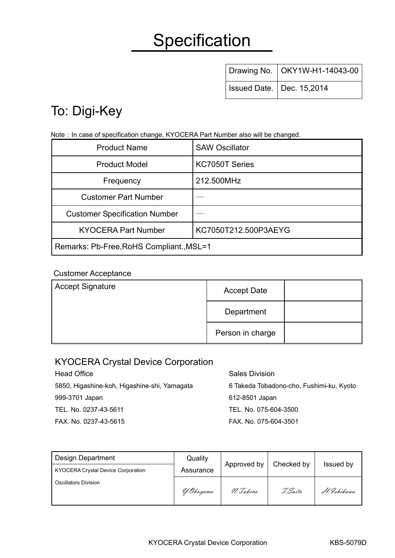# **Specification**

| Drawing No.   OKY1W-H1-14043-00 |
|---------------------------------|
| Issued Date.   Dec. 15,2014     |

## To: Digi-Key

Note: In case of specification change, KYOCERA Part Number also will be changed.

| <b>Product Name</b>                      | <b>SAW Oscillator</b> |  |  |  |
|------------------------------------------|-----------------------|--|--|--|
| <b>Product Model</b>                     | KC7050T Series        |  |  |  |
| Frequency                                | 212.500MHz            |  |  |  |
| <b>Customer Part Number</b>              |                       |  |  |  |
| <b>Customer Specification Number</b>     |                       |  |  |  |
| <b>KYOCERA Part Number</b>               | KC7050T212.500P3AEYG  |  |  |  |
| Remarks: Pb-Free, RoHS Compliant., MSL=1 |                       |  |  |  |

#### Customer Acceptance

| <b>Accept Signature</b> | <b>Accept Date</b> |  |
|-------------------------|--------------------|--|
|                         | Department         |  |
|                         | Person in charge   |  |

#### KYOCERA Crystal Device Corporation

Head Office **Sales Division** 5850, Higashine-koh, Higashine-shi, Yamagata 999-3701 Japan TEL. No. 0237-43-5611 FAX. No. 0237-43-5615

6 Takeda Tobadono-cho, Fushimi-ku, Kyoto 612-8501 Japan TEL. No. 075-604-3500 FAX. No. 075-604-3501

| <b>Design Department</b>                  | Quality    |             | Checked by |             |  |
|-------------------------------------------|------------|-------------|------------|-------------|--|
| <b>KYOCERA Crystal Device Corporation</b> | Assurance  | Approved by |            | Issued by   |  |
| <b>Oscillators Division</b>               | Y. Okuyama | N. Takeno   | I. Saito   | H. Ishikawa |  |
|                                           |            |             |            |             |  |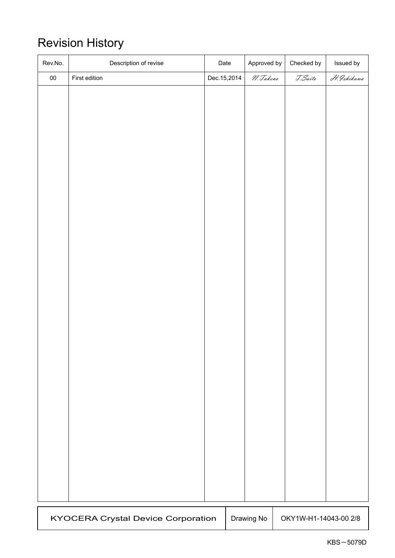### Revision History

| Rev.No.                                   | Description of revise | Date        | Approved by | Checked by            | Issued by   |
|-------------------------------------------|-----------------------|-------------|-------------|-----------------------|-------------|
| ${\bf 00}$                                | First edition         | Dec.15,2014 | N. Takeno   | T. Saito              | H. Ishikawa |
|                                           |                       |             |             |                       |             |
|                                           |                       |             |             |                       |             |
|                                           |                       |             |             |                       |             |
|                                           |                       |             |             |                       |             |
|                                           |                       |             |             |                       |             |
|                                           |                       |             |             |                       |             |
|                                           |                       |             |             |                       |             |
|                                           |                       |             |             |                       |             |
|                                           |                       |             |             |                       |             |
|                                           |                       |             |             |                       |             |
|                                           |                       |             |             |                       |             |
|                                           |                       |             |             |                       |             |
|                                           |                       |             |             |                       |             |
|                                           |                       |             |             |                       |             |
|                                           |                       |             |             |                       |             |
|                                           |                       |             |             |                       |             |
|                                           |                       |             |             |                       |             |
|                                           |                       |             |             |                       |             |
|                                           |                       |             |             |                       |             |
|                                           |                       |             |             |                       |             |
|                                           |                       |             |             |                       |             |
|                                           |                       |             |             |                       |             |
|                                           |                       |             |             |                       |             |
|                                           |                       |             |             |                       |             |
|                                           |                       |             |             |                       |             |
|                                           |                       |             |             |                       |             |
|                                           |                       |             |             |                       |             |
|                                           |                       |             |             |                       |             |
|                                           |                       |             |             |                       |             |
|                                           |                       |             |             |                       |             |
|                                           |                       |             |             |                       |             |
| <b>KYOCERA Crystal Device Corporation</b> |                       |             | Drawing No  | OKY1W-H1-14043-00 2/8 |             |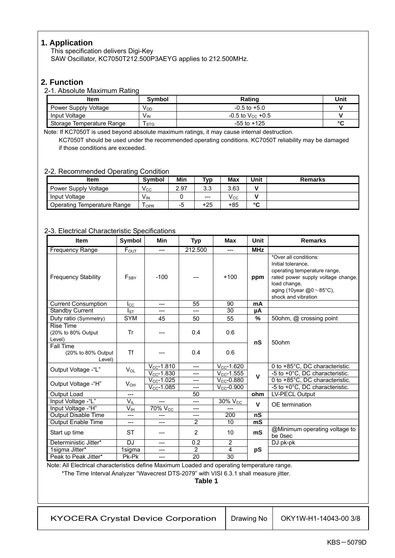#### **1. Application**

This specification delivers Digi-Key SAW Oscillator, KC7050T212.500P3AEYG applies to 212.500MHz.

#### **2. Function**

#### 2-1. Absolute Maximum Rating

| <b>Item</b>               | <b>Symbol</b>   | Rating                         | Unit   |
|---------------------------|-----------------|--------------------------------|--------|
| Power Supply Voltage      | V <sub>DD</sub> | $-0.5$ to $+5.0$               |        |
| Input Voltage             | V <sub>IN</sub> | $-0.5$ to V <sub>cc</sub> +0.5 |        |
| Storage Temperature Range | <b>STG</b>      | $-55$ to $+125$                | $\sim$ |

Note: If KC7050T is used beyond absolute maximum ratings, it may cause internal destruction. KC7050T should be used under the recommended operating conditions. KC7050T reliability may be damaged if those conditions are exceeded.

#### 2-2. Recommended Operating Condition

| ltem                        | <b>Symbol</b>         | Min  | T <sub>VD</sub> | Max          | Unit        | <b>Remarks</b> |
|-----------------------------|-----------------------|------|-----------------|--------------|-------------|----------------|
| Power Supply Voltage        | $V_{\rm CC}$          | 2.97 | າ າ<br>ن. ب     | 3.63         |             |                |
| Input Voltage               | <b>V<sub>IN</sub></b> |      | $---$           | $V_{\rm CC}$ |             |                |
| Operating Temperature Range | <b>OPR</b>            | -5   | $+25$           | +85          | $\sim$<br>v |                |

#### 2-3. Electrical Characteristic Specifications

| <b>Item</b>                                      | Symbol          | Min             | <b>Typ</b>     | <b>Max</b>          | <b>Unit</b> | <b>Remarks</b>                                                                                                                                                                                     |
|--------------------------------------------------|-----------------|-----------------|----------------|---------------------|-------------|----------------------------------------------------------------------------------------------------------------------------------------------------------------------------------------------------|
| <b>Frequency Range</b>                           | $F_{OUT}$       | ---             | 212.500        | $---$               | <b>MHz</b>  |                                                                                                                                                                                                    |
| <b>Frequency Stability</b>                       | $F_{SBY}$       | $-100$          |                | $+100$              | ppm         | *Over all conditions:<br>Initial tolerance.<br>operating temperature range,<br>rated power supply voltage change,<br>load change,<br>aging (10year $@0 \sim 85^{\circ}$ C),<br>shock and vibration |
| <b>Current Consumption</b>                       | $_{\rm lcc}$    | $---$           | 55             | 90                  | mA          |                                                                                                                                                                                                    |
| <b>Standby Current</b>                           | $I_{ST}$        |                 | ---            | 30                  | μA          |                                                                                                                                                                                                    |
| Duty ratio (Symmetry)                            | <b>SYM</b>      | 45              | 50             | 55                  | %           | 50ohm, @ crossing point                                                                                                                                                                            |
| <b>Rise Time</b><br>(20% to 80% Output<br>Level) | Tr              |                 | 0.4            | 0.6                 | nS          | 50ohm                                                                                                                                                                                              |
| Fall Time<br>(20% to 80% Output)<br>Level)       | <b>Tf</b>       |                 | 0.4            | 0.6                 |             |                                                                                                                                                                                                    |
| Output Voltage -"L"                              | $V_{OL}$        | $V_{CC}$ -1.810 | $---$          | $V_{CC}$ -1.620     |             | 0 to +85°C, DC characteristic.                                                                                                                                                                     |
|                                                  |                 | $V_{CC}$ -1.830 | ---            | $V_{CC}$ -1.555     | $\mathbf v$ | -5 to +0°C, DC characteristic.                                                                                                                                                                     |
| Output Voltage -"H"                              | $V_{OH}$        | $V_{CC}$ -1.025 | ---            | $V_{CC}$ -0.880     |             | 0 to +85°C, DC characteristic.                                                                                                                                                                     |
|                                                  |                 | $V_{CC}$ -1.085 | ---            | $V_{CC}$ -0.900     |             | -5 to +0°C, DC characteristic.                                                                                                                                                                     |
| Output Load                                      | $---$           |                 | 50             |                     | ohm         | LV-PECL Output                                                                                                                                                                                     |
| Input Voltage -"L"                               | $V_{IL}$        | ---             | ---            | 30% V <sub>cc</sub> | $\mathbf v$ | OE termination                                                                                                                                                                                     |
| Input Voltage -"H"                               | $V_{\text{IH}}$ | $70\%$ $V_{CC}$ |                |                     |             |                                                                                                                                                                                                    |
| <b>Output Disable Time</b>                       | ---             | $---$           | ---            | 200                 | nS          |                                                                                                                                                                                                    |
| <b>Output Enable Time</b>                        | ---             | ---             | $\overline{2}$ | 10                  | mS          |                                                                                                                                                                                                    |
| Start up time                                    | <b>ST</b>       |                 | $\overline{2}$ | 10                  | mS          | @Minimum operating voltage to<br>be 0sec                                                                                                                                                           |
| Deterministic Jitter*                            | DJ              | ---             | 0.2            | 2                   |             | DJ pk-pk                                                                                                                                                                                           |
| 1sigma Jitter*                                   | 1sigma          | ---             | $\overline{2}$ | $\overline{4}$      | pS          |                                                                                                                                                                                                    |
| Peak to Peak Jitter*                             | Pk-Pk           | ---             | 20             | 30                  |             |                                                                                                                                                                                                    |

Note: All Electrical characteristics define Maximum Loaded and operating temperature range.

\*The Time Interval Analyzer "Wavecrest DTS-2079" with VISI 6.3.1 shall measure jitter.

**Table 1**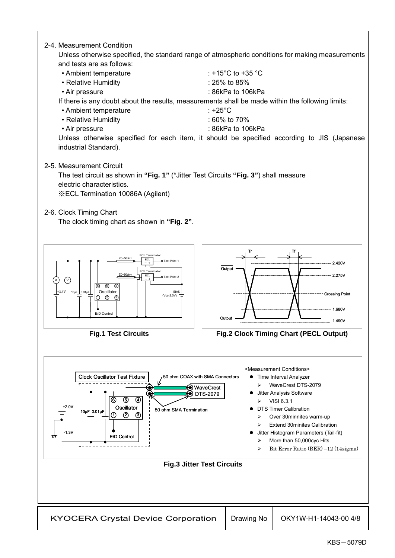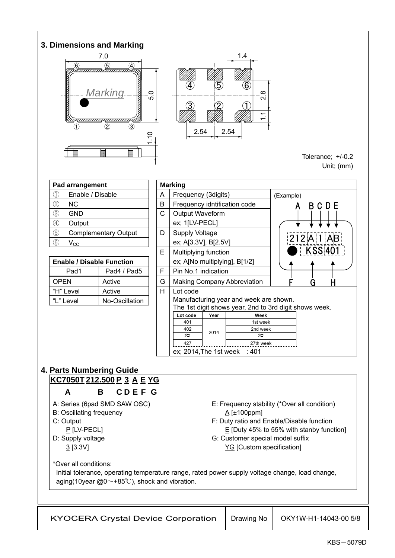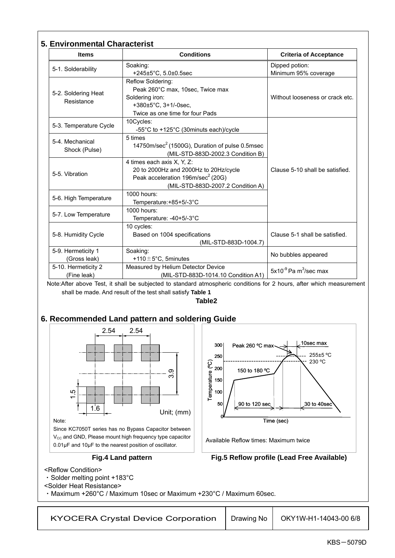| Soaking:<br>+245 $\pm$ 5°C, 5.0 $\pm$ 0.5sec<br>Reflow Soldering:<br>Peak 260°C max, 10sec, Twice max<br>Soldering iron:<br>+380±5°C, 3+1/-0sec,<br>Twice as one time for four Pads<br>10Cycles:<br>-55°C to +125°C (30minuts each)/cycle<br>5 times<br>4 times each axis X, Y, Z:<br>20 to 2000Hz and 2000Hz to 20Hz/cycle<br>Peak acceleration 196m/sec <sup>2</sup> (20G)<br>1000 hours:<br>Temperature:+85+5/-3°C<br>1000 hours:<br>Temperature: -40+5/-3°C<br>10 cycles:<br>Based on 1004 specifications<br>Soaking:<br>+110 $\pm$ 5°C, 5minutes<br>Measured by Helium Detector Device<br>shall be made. And result of the test shall satisfy Table 1 | 14750m/sec <sup>2</sup> (1500G), Duration of pulse 0.5msec<br>(MIL-STD-883D-2002.3 Condition B)<br>(MIL-STD-883D-2007.2 Condition A)<br>(MIL-STD-883D-1004.7)<br>(MIL-STD-883D-1014.10 Condition A1)<br>Note:After above Test, it shall be subjected to standard atmospheric conditions for 2 hours, after which measurement | Dipped potion:<br>Minimum 95% coverage<br>Without looseness or crack etc.<br>Clause 5-10 shall be satisfied.<br>Clause 5-1 shall be satisfied.<br>No bubbles appeared<br>$5x10^{-9}$ Pa m <sup>3</sup> /sec max |
|------------------------------------------------------------------------------------------------------------------------------------------------------------------------------------------------------------------------------------------------------------------------------------------------------------------------------------------------------------------------------------------------------------------------------------------------------------------------------------------------------------------------------------------------------------------------------------------------------------------------------------------------------------|------------------------------------------------------------------------------------------------------------------------------------------------------------------------------------------------------------------------------------------------------------------------------------------------------------------------------|-----------------------------------------------------------------------------------------------------------------------------------------------------------------------------------------------------------------|
|                                                                                                                                                                                                                                                                                                                                                                                                                                                                                                                                                                                                                                                            |                                                                                                                                                                                                                                                                                                                              |                                                                                                                                                                                                                 |
|                                                                                                                                                                                                                                                                                                                                                                                                                                                                                                                                                                                                                                                            |                                                                                                                                                                                                                                                                                                                              |                                                                                                                                                                                                                 |
|                                                                                                                                                                                                                                                                                                                                                                                                                                                                                                                                                                                                                                                            |                                                                                                                                                                                                                                                                                                                              |                                                                                                                                                                                                                 |
|                                                                                                                                                                                                                                                                                                                                                                                                                                                                                                                                                                                                                                                            |                                                                                                                                                                                                                                                                                                                              |                                                                                                                                                                                                                 |
|                                                                                                                                                                                                                                                                                                                                                                                                                                                                                                                                                                                                                                                            |                                                                                                                                                                                                                                                                                                                              |                                                                                                                                                                                                                 |
|                                                                                                                                                                                                                                                                                                                                                                                                                                                                                                                                                                                                                                                            |                                                                                                                                                                                                                                                                                                                              |                                                                                                                                                                                                                 |
|                                                                                                                                                                                                                                                                                                                                                                                                                                                                                                                                                                                                                                                            |                                                                                                                                                                                                                                                                                                                              |                                                                                                                                                                                                                 |
|                                                                                                                                                                                                                                                                                                                                                                                                                                                                                                                                                                                                                                                            |                                                                                                                                                                                                                                                                                                                              |                                                                                                                                                                                                                 |
|                                                                                                                                                                                                                                                                                                                                                                                                                                                                                                                                                                                                                                                            |                                                                                                                                                                                                                                                                                                                              |                                                                                                                                                                                                                 |
|                                                                                                                                                                                                                                                                                                                                                                                                                                                                                                                                                                                                                                                            |                                                                                                                                                                                                                                                                                                                              |                                                                                                                                                                                                                 |
| 6. Recommended Land pattern and soldering Guide                                                                                                                                                                                                                                                                                                                                                                                                                                                                                                                                                                                                            | Table2                                                                                                                                                                                                                                                                                                                       |                                                                                                                                                                                                                 |
| 2.54<br>တ<br>ო<br>Unit; (mm)<br>Since KC7050T series has no Bypass Capacitor between<br>V <sub>cc</sub> and GND, Please mount high frequency type capacitor                                                                                                                                                                                                                                                                                                                                                                                                                                                                                                | 300<br>Peak 260 °C max<br>250<br>Temperature (°C)<br>200<br>150 to 180 °C<br>150<br>100<br>50<br>,90 to 120 sec<br>Available Reflow times: Maximum twice                                                                                                                                                                     | 10sec max<br>255±5 °C<br>230 °C<br>30 to 40sec<br>Time (sec)                                                                                                                                                    |
|                                                                                                                                                                                                                                                                                                                                                                                                                                                                                                                                                                                                                                                            |                                                                                                                                                                                                                                                                                                                              |                                                                                                                                                                                                                 |
|                                                                                                                                                                                                                                                                                                                                                                                                                                                                                                                                                                                                                                                            |                                                                                                                                                                                                                                                                                                                              |                                                                                                                                                                                                                 |
|                                                                                                                                                                                                                                                                                                                                                                                                                                                                                                                                                                                                                                                            | 0.01µF and 10µF to the nearest position of oscillator.<br><b>Fig.4 Land pattern</b>                                                                                                                                                                                                                                          | Fig.5 Reflow profile (Lead Free Available)                                                                                                                                                                      |

KYOCERA Crystal Device Corporation  $\vert$  Drawing No  $\vert$  OKY1W-H1-14043-00 6/8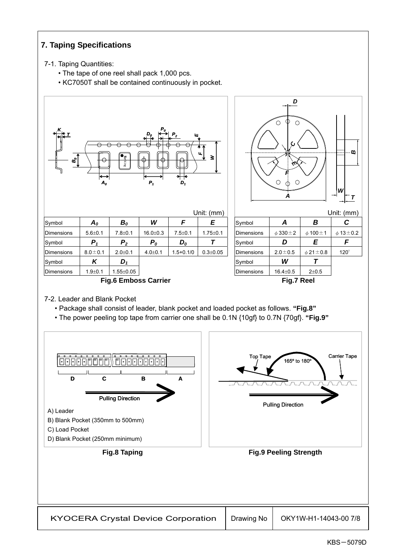### **7. Taping Specifications**

#### 7-1. Taping Quantities:

- The tape of one reel shall pack 1,000 pcs.
- KC7050T shall be contained continuously in pocket.



7-2. Leader and Blank Pocket

- Package shall consist of leader, blank pocket and loaded pocket as follows. **"Fig.8"**
- The power peeling top tape from carrier one shall be 0.1N {10gf} to 0.7N {70gf}. **"Fig.9"**